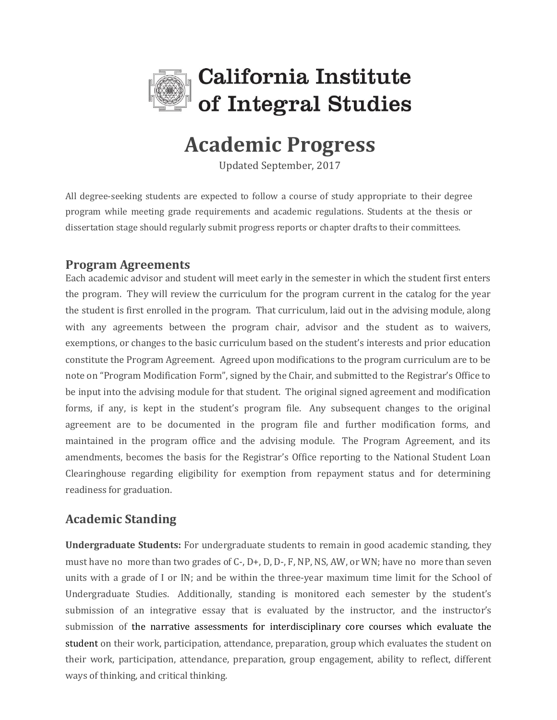

# **Academic Progress**

Updated September, 2017

All degree-seeking students are expected to follow a course of study appropriate to their degree program while meeting grade requirements and academic regulations. Students at the thesis or dissertation stage should regularly submit progress reports or chapter drafts to their committees.

## **Program Agreements**

Each academic advisor and student will meet early in the semester in which the student first enters the program. They will review the curriculum for the program current in the catalog for the year the student is first enrolled in the program. That curriculum, laid out in the advising module, along with any agreements between the program chair, advisor and the student as to waivers, exemptions, or changes to the basic curriculum based on the student's interests and prior education constitute the Program Agreement. Agreed upon modifications to the program curriculum are to be note on "Program Modification Form", signed by the Chair, and submitted to the Registrar's Office to be input into the advising module for that student. The original signed agreement and modification forms, if any, is kept in the student's program file. Any subsequent changes to the original agreement are to be documented in the program file and further modification forms, and maintained in the program office and the advising module. The Program Agreement, and its amendments, becomes the basis for the Registrar's Office reporting to the National Student Loan Clearinghouse regarding eligibility for exemption from repayment status and for determining readiness for graduation.

## **Academic Standing**

**Undergraduate Students:** For undergraduate students to remain in good academic standing, they must have no more than two grades of C-, D+, D, D-, F, NP, NS, AW, or WN; have no more than seven units with a grade of I or IN; and be within the three-year maximum time limit for the School of Undergraduate Studies. Additionally, standing is monitored each semester by the student's submission of an integrative essay that is evaluated by the instructor, and the instructor's submission of the narrative assessments for interdisciplinary core courses which evaluate the student on their work, participation, attendance, preparation, group which evaluates the student on their work, participation, attendance, preparation, group engagement, ability to reflect, different ways of thinking, and critical thinking.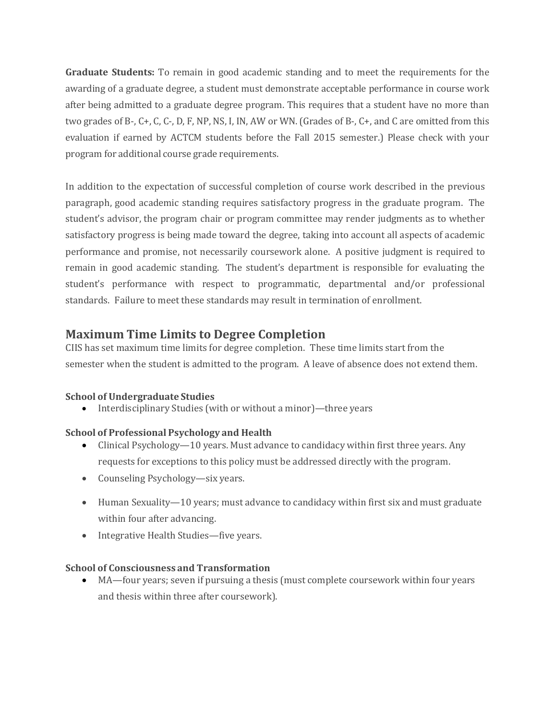**Graduate Students:** To remain in good academic standing and to meet the requirements for the awarding of a graduate degree, a student must demonstrate acceptable performance in course work after being admitted to a graduate degree program. This requires that a student have no more than two grades of B-, C+, C, C-, D, F, NP, NS, I, IN, AW or WN. (Grades of B-, C+, and C are omitted from this evaluation if earned by ACTCM students before the Fall 2015 semester.) Please check with your program for additional course grade requirements.

In addition to the expectation of successful completion of course work described in the previous paragraph, good academic standing requires satisfactory progress in the graduate program. The student's advisor, the program chair or program committee may render judgments as to whether satisfactory progress is being made toward the degree, taking into account all aspects of academic performance and promise, not necessarily coursework alone. A positive judgment is required to remain in good academic standing. The student's department is responsible for evaluating the student's performance with respect to programmatic, departmental and/or professional standards. Failure to meet these standards may result in termination of enrollment.

## **Maximum Time Limits to Degree Completion**

CIIS has set maximum time limits for degree completion. These time limits start from the semester when the student is admitted to the program. A leave of absence does not extend them.

### **School of Undergraduate Studies**

• Interdisciplinary Studies (with or without a minor)—three years

### **School of Professional Psychology and Health**

- Clinical Psychology—10 years. Must advance to candidacy within first three years. Any requests for exceptions to this policy must be addressed directly with the program.
- Counseling Psychology—six years.
- Human Sexuality—10 years; must advance to candidacy within first six and must graduate within four after advancing.
- Integrative Health Studies—five years.

### **School of Consciousness and Transformation**

 MA—four years; seven if pursuing a thesis (must complete coursework within four years and thesis within three after coursework).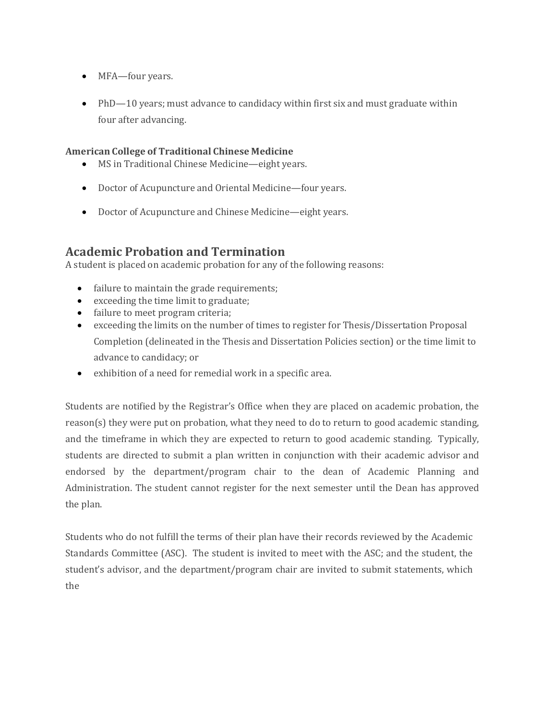- MFA—four years.
- PhD—10 years; must advance to candidacy within first six and must graduate within four after advancing.

#### **American College of Traditional Chinese Medicine**

- MS in Traditional Chinese Medicine—eight years.
- Doctor of Acupuncture and Oriental Medicine—four years.
- Doctor of Acupuncture and Chinese Medicine—eight years.

## **Academic Probation and Termination**

A student is placed on academic probation for any of the following reasons:

- failure to maintain the grade requirements;
- exceeding the time limit to graduate;
- failure to meet program criteria;
- exceeding the limits on the number of times to register for Thesis/Dissertation Proposal Completion (delineated in the Thesis and Dissertation Policies section) or the time limit to advance to candidacy; or
- exhibition of a need for remedial work in a specific area.

Students are notified by the Registrar's Office when they are placed on academic probation, the reason(s) they were put on probation, what they need to do to return to good academic standing, and the timeframe in which they are expected to return to good academic standing. Typically, students are directed to submit a plan written in conjunction with their academic advisor and endorsed by the department/program chair to the dean of Academic Planning and Administration. The student cannot register for the next semester until the Dean has approved the plan.

Students who do not fulfill the terms of their plan have their records reviewed by the Academic Standards Committee (ASC). The student is invited to meet with the ASC; and the student, the student's advisor, and the department/program chair are invited to submit statements, which the